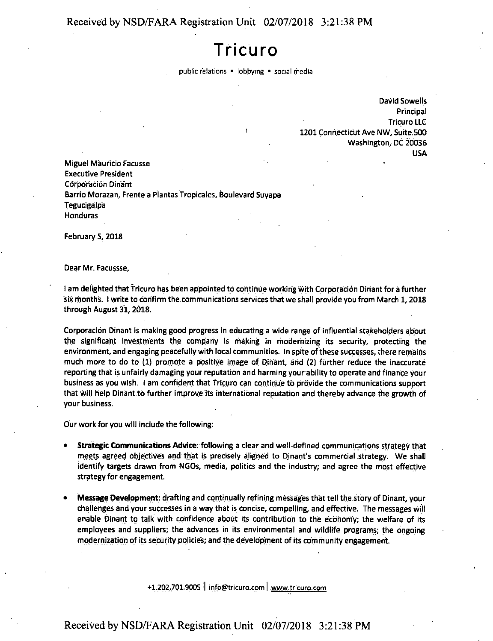## **Received by NSD/FARA Registration Unit 02/07/2018 3:21:38 PM**

## **Tricuro**

public relations • lobbying • social media

David Sowells **Principal** Tricuro LLC 1201 Connecticut Ave NW, Suite.500 Washington, DC 20036 USA

Miguel Mauricio Facusse Executive President Corporación Dinant Barrio Morazan, Frente a Plantas Tropicales, Boulevard Suyapa **Tegucigalpa** Honduras

February 5,2018

Dear Mr. Facussse,

<sup>I</sup> am delighted that tricuro has been appointed to continue working with Corporation Dinant for a further six months. <sup>I</sup> write to confirm the communications services that we shall provide you from March 1,2018 through August 31, 2018.

Corporation Dinant is making good progress in educating a wide range of influential stakeholders about the significant investments the company is making in modernizing its security, protecting the environment, and engaging peacefully with local communities. In spite of these successes, there remains much more to do to (1) promote <sup>a</sup> positive image of Dinant, arid (2) further reduce the inaccurate reporting that is unfairly damaging your reputation and harming your ability to operate and finance your business as you wish. <sup>I</sup> am confident that Tricuro can continue to provide the communications support that will help Dinant to further improve its international reputation and thereby advance the growth of your business.

Our work for you will include the following:

- **• Strategic Communications Advice:** following <sup>a</sup> clear and well-defined communications strategy that meets agreed objectives and that is precisely aligned to Dinant's commercial strategy. We shall identify targets drawn from NGOs, media, politics and the industry; and agree the most effective strategy for engagement.
- **• Message Development:** drafting and continually refining messages that tell the story of Dinant, your challenges and your successes in a way that is concise, compelling, and effective. The messages will enable Dinant to talk with confidence about its contribution to the economy; the welfare of its employees and suppliers; the advances in its environmental and wildlife programs; the ongoing modernization of its security policies; and the development of its community engagement.

+1.202.701.9005, <sup>I</sup> infb@tricuro.cpm <sup>|</sup> www.tricuro.com

## Received by NSD/FARA Registration Unit 02/07/2018 3:21:38 PM